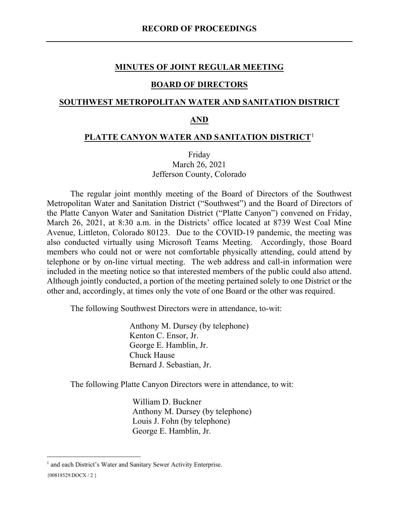#### **MINUTES OF JOINT REGULAR MEETING**

#### **BOARD OF DIRECTORS**

### **SOUTHWEST METROPOLITAN WATER AND SANITATION DISTRICT**

### **AND**

#### **PLATTE CANYON WATER AND SANITATION DISTRICT**[1](#page-0-0)

Friday March 26, 2021 Jefferson County, Colorado

The regular joint monthly meeting of the Board of Directors of the Southwest Metropolitan Water and Sanitation District ("Southwest") and the Board of Directors of the Platte Canyon Water and Sanitation District ("Platte Canyon") convened on Friday, March 26, 2021, at 8:30 a.m. in the Districts' office located at 8739 West Coal Mine Avenue, Littleton, Colorado 80123. Due to the COVID-19 pandemic, the meeting was also conducted virtually using Microsoft Teams Meeting. Accordingly, those Board members who could not or were not comfortable physically attending, could attend by telephone or by on-line virtual meeting. The web address and call-in information were included in the meeting notice so that interested members of the public could also attend. Although jointly conducted, a portion of the meeting pertained solely to one District or the other and, accordingly, at times only the vote of one Board or the other was required.

The following Southwest Directors were in attendance, to-wit:

Anthony M. Dursey (by telephone) Kenton C. Ensor, Jr. George E. Hamblin, Jr. Chuck Hause Bernard J. Sebastian, Jr.

The following Platte Canyon Directors were in attendance, to wit:

William D. Buckner Anthony M. Dursey (by telephone) Louis J. Fohn (by telephone) George E. Hamblin, Jr.

<span id="page-0-0"></span><sup>&</sup>lt;sup>1</sup> and each District's Water and Sanitary Sewer Activity Enterprise.

<sup>{00818529.</sup>DOCX / 2 }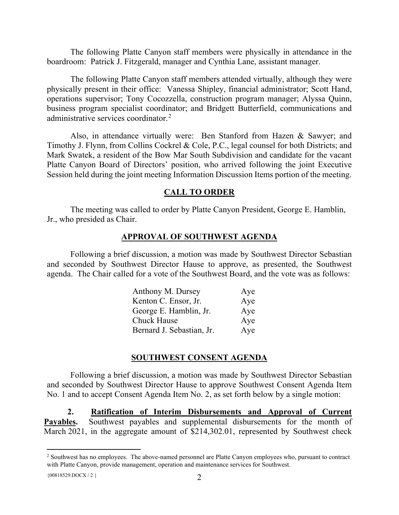The following Platte Canyon staff members were physically in attendance in the boardroom: Patrick J. Fitzgerald, manager and Cynthia Lane, assistant manager.

The following Platte Canyon staff members attended virtually, although they were physically present in their office: Vanessa Shipley, financial administrator; Scott Hand, operations supervisor; Tony Cocozzella, construction program manager; Alyssa Quinn, business program specialist coordinator; and Bridgett Butterfield, communications and administrative services coordinator.<sup>[2](#page-1-0)</sup>

Also, in attendance virtually were: Ben Stanford from Hazen & Sawyer; and Timothy J. Flynn, from Collins Cockrel & Cole, P.C., legal counsel for both Districts; and Mark Swatek, a resident of the Bow Mar South Subdivision and candidate for the vacant Platte Canyon Board of Directors' position, who arrived following the joint Executive Session held during the joint meeting Information Discussion Items portion of the meeting.

#### **CALL TO ORDER**

The meeting was called to order by Platte Canyon President, George E. Hamblin, Jr., who presided as Chair.

#### **APPROVAL OF SOUTHWEST AGENDA**

Following a brief discussion, a motion was made by Southwest Director Sebastian and seconded by Southwest Director Hause to approve, as presented, the Southwest agenda. The Chair called for a vote of the Southwest Board, and the vote was as follows:

| Anthony M. Dursey         | Aye |
|---------------------------|-----|
| Kenton C. Ensor, Jr.      | Aye |
| George E. Hamblin, Jr.    | Aye |
| <b>Chuck Hause</b>        | Aye |
| Bernard J. Sebastian, Jr. | Aye |

#### **SOUTHWEST CONSENT AGENDA**

Following a brief discussion, a motion was made by Southwest Director Sebastian and seconded by Southwest Director Hause to approve Southwest Consent Agenda Item No. 1 and to accept Consent Agenda Item No. 2, as set forth below by a single motion:

**2. Ratification of Interim Disbursements and Approval of Current Payables.** Southwest payables and supplemental disbursements for the month of March 2021, in the aggregate amount of \$214,302.01, represented by Southwest check

<span id="page-1-0"></span><sup>&</sup>lt;sup>2</sup> Southwest has no employees. The above-named personnel are Platte Canyon employees who, pursuant to contract with Platte Canyon, provide management, operation and maintenance services for Southwest.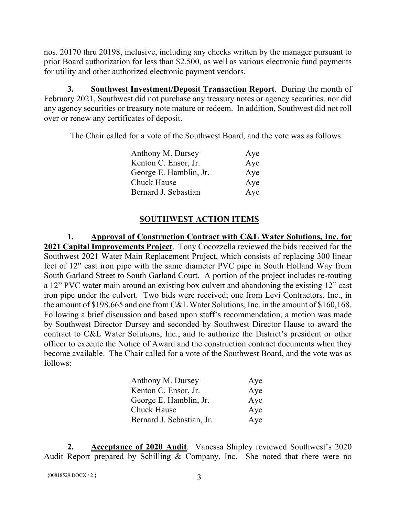nos. 20170 thru 20198, inclusive, including any checks written by the manager pursuant to prior Board authorization for less than \$2,500, as well as various electronic fund payments for utility and other authorized electronic payment vendors.

**3. Southwest Investment/Deposit Transaction Report**. During the month of February 2021, Southwest did not purchase any treasury notes or agency securities, nor did any agency securities or treasury note mature or redeem. In addition, Southwest did not roll over or renew any certificates of deposit.

The Chair called for a vote of the Southwest Board, and the vote was as follows:

| Anthony M. Dursey      | Aye |
|------------------------|-----|
| Kenton C. Ensor, Jr.   | Aye |
| George E. Hamblin, Jr. | Aye |
| Chuck Hause            | Aye |
| Bernard J. Sebastian   | Aye |

## **SOUTHWEST ACTION ITEMS**

**1. Approval of Construction Contract with C&L Water Solutions, Inc. for 2021 Capital Improvements Project**. Tony Cocozzella reviewed the bids received for the Southwest 2021 Water Main Replacement Project, which consists of replacing 300 linear feet of 12" cast iron pipe with the same diameter PVC pipe in South Holland Way from South Garland Street to South Garland Court. A portion of the project includes re-routing a 12" PVC water main around an existing box culvert and abandoning the existing 12" cast iron pipe under the culvert. Two bids were received; one from Levi Contractors, Inc., in the amount of \$198,665 and one from C&L Water Solutions, Inc. in the amount of \$160,168. Following a brief discussion and based upon staff's recommendation, a motion was made by Southwest Director Dursey and seconded by Southwest Director Hause to award the contract to C&L Water Solutions, Inc., and to authorize the District's president or other officer to execute the Notice of Award and the construction contract documents when they become available. The Chair called for a vote of the Southwest Board, and the vote was as follows:

| Anthony M. Dursey         | Aye |
|---------------------------|-----|
| Kenton C. Ensor, Jr.      | Aye |
| George E. Hamblin, Jr.    | Aye |
| <b>Chuck Hause</b>        | Aye |
| Bernard J. Sebastian, Jr. | Aye |

**2. Acceptance of 2020 Audit**. Vanessa Shipley reviewed Southwest's 2020 Audit Report prepared by Schilling  $\&$  Company, Inc. She noted that there were no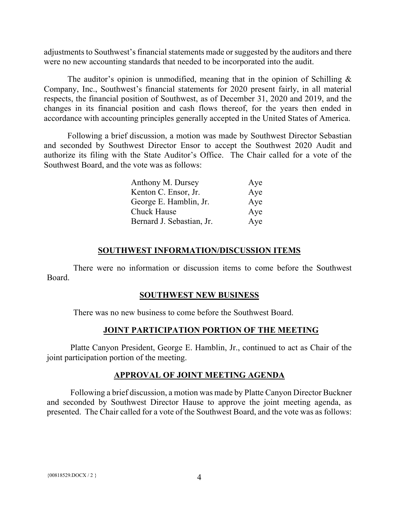adjustments to Southwest's financial statements made or suggested by the auditors and there were no new accounting standards that needed to be incorporated into the audit.

The auditor's opinion is unmodified, meaning that in the opinion of Schilling  $\&$ Company, Inc., Southwest's financial statements for 2020 present fairly, in all material respects, the financial position of Southwest, as of December 31, 2020 and 2019, and the changes in its financial position and cash flows thereof, for the years then ended in accordance with accounting principles generally accepted in the United States of America.

Following a brief discussion, a motion was made by Southwest Director Sebastian and seconded by Southwest Director Ensor to accept the Southwest 2020 Audit and authorize its filing with the State Auditor's Office. The Chair called for a vote of the Southwest Board, and the vote was as follows:

| Anthony M. Dursey         | Aye |
|---------------------------|-----|
| Kenton C. Ensor, Jr.      | Aye |
| George E. Hamblin, Jr.    | Aye |
| <b>Chuck Hause</b>        | Aye |
| Bernard J. Sebastian, Jr. | Aye |

### **SOUTHWEST INFORMATION/DISCUSSION ITEMS**

There were no information or discussion items to come before the Southwest Board.

### **SOUTHWEST NEW BUSINESS**

There was no new business to come before the Southwest Board.

### **JOINT PARTICIPATION PORTION OF THE MEETING**

Platte Canyon President, George E. Hamblin, Jr., continued to act as Chair of the joint participation portion of the meeting.

## **APPROVAL OF JOINT MEETING AGENDA**

Following a brief discussion, a motion was made by Platte Canyon Director Buckner and seconded by Southwest Director Hause to approve the joint meeting agenda, as presented. The Chair called for a vote of the Southwest Board, and the vote was as follows: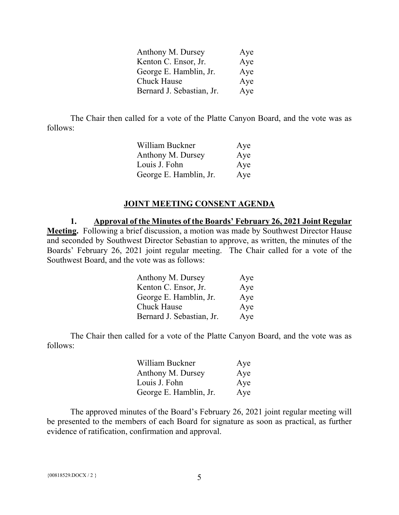| Anthony M. Dursey         | Aye |
|---------------------------|-----|
| Kenton C. Ensor, Jr.      | Aye |
| George E. Hamblin, Jr.    | Aye |
| Chuck Hause               | Aye |
| Bernard J. Sebastian, Jr. | Aye |

The Chair then called for a vote of the Platte Canyon Board, and the vote was as follows:

| William Buckner        | Aye |
|------------------------|-----|
| Anthony M. Dursey      | Aye |
| Louis J. Fohn          | Aye |
| George E. Hamblin, Jr. | Aye |

#### **JOINT MEETING CONSENT AGENDA**

**1. Approval of the Minutes of the Boards' February 26, 2021 Joint Regular Meeting.** Following a brief discussion, a motion was made by Southwest Director Hause and seconded by Southwest Director Sebastian to approve, as written, the minutes of the Boards' February 26, 2021 joint regular meeting. The Chair called for a vote of the Southwest Board, and the vote was as follows:

| Anthony M. Dursey         | Aye |
|---------------------------|-----|
| Kenton C. Ensor, Jr.      | Aye |
| George E. Hamblin, Jr.    | Aye |
| <b>Chuck Hause</b>        | Aye |
| Bernard J. Sebastian, Jr. | Aye |

The Chair then called for a vote of the Platte Canyon Board, and the vote was as follows:

| William Buckner        | Aye |
|------------------------|-----|
| Anthony M. Dursey      | Aye |
| Louis J. Fohn          | Aye |
| George E. Hamblin, Jr. | Aye |

The approved minutes of the Board's February 26, 2021 joint regular meeting will be presented to the members of each Board for signature as soon as practical, as further evidence of ratification, confirmation and approval.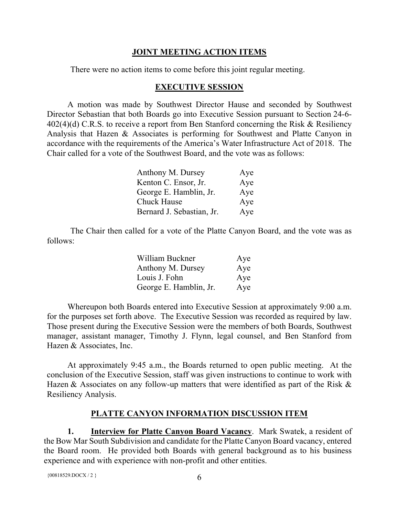## **JOINT MEETING ACTION ITEMS**

There were no action items to come before this joint regular meeting.

### **EXECUTIVE SESSION**

A motion was made by Southwest Director Hause and seconded by Southwest Director Sebastian that both Boards go into Executive Session pursuant to Section 24-6- 402(4)(d) C.R.S. to receive a report from Ben Stanford concerning the Risk & Resiliency Analysis that Hazen & Associates is performing for Southwest and Platte Canyon in accordance with the requirements of the America's Water Infrastructure Act of 2018. The Chair called for a vote of the Southwest Board, and the vote was as follows:

| Anthony M. Dursey         | Aye |
|---------------------------|-----|
| Kenton C. Ensor, Jr.      | Aye |
| George E. Hamblin, Jr.    | Aye |
| <b>Chuck Hause</b>        | Aye |
| Bernard J. Sebastian, Jr. | Aye |

The Chair then called for a vote of the Platte Canyon Board, and the vote was as follows:

| William Buckner        | Aye |
|------------------------|-----|
| Anthony M. Dursey      | Aye |
| Louis J. Fohn          | Aye |
| George E. Hamblin, Jr. | Aye |

Whereupon both Boards entered into Executive Session at approximately 9:00 a.m. for the purposes set forth above. The Executive Session was recorded as required by law. Those present during the Executive Session were the members of both Boards, Southwest manager, assistant manager, Timothy J. Flynn, legal counsel, and Ben Stanford from Hazen & Associates, Inc.

At approximately 9:45 a.m., the Boards returned to open public meeting. At the conclusion of the Executive Session, staff was given instructions to continue to work with Hazen & Associates on any follow-up matters that were identified as part of the Risk & Resiliency Analysis.

## **PLATTE CANYON INFORMATION DISCUSSION ITEM**

**1. Interview for Platte Canyon Board Vacancy**. Mark Swatek, a resident of the Bow Mar South Subdivision and candidate for the Platte Canyon Board vacancy, entered the Board room. He provided both Boards with general background as to his business experience and with experience with non-profit and other entities.

```
\{00818529.DOCX / 2\} 6
```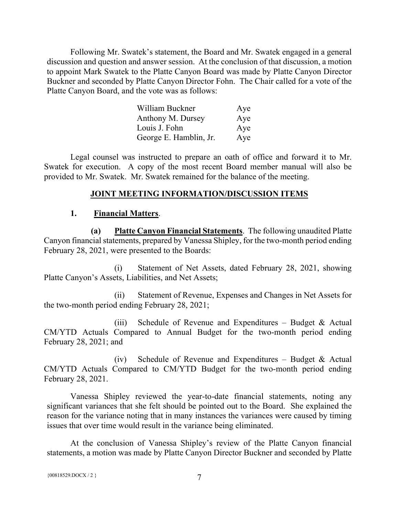Following Mr. Swatek's statement, the Board and Mr. Swatek engaged in a general discussion and question and answer session. At the conclusion of that discussion, a motion to appoint Mark Swatek to the Platte Canyon Board was made by Platte Canyon Director Buckner and seconded by Platte Canyon Director Fohn. The Chair called for a vote of the Platte Canyon Board, and the vote was as follows:

| William Buckner        | Aye |
|------------------------|-----|
| Anthony M. Dursey      | Aye |
| Louis J. Fohn          | Aye |
| George E. Hamblin, Jr. | Aye |

Legal counsel was instructed to prepare an oath of office and forward it to Mr. Swatek for execution. A copy of the most recent Board member manual will also be provided to Mr. Swatek. Mr. Swatek remained for the balance of the meeting.

#### **JOINT MEETING INFORMATION/DISCUSSION ITEMS**

#### **1. Financial Matters**.

**(a) Platte Canyon Financial Statements**. The following unaudited Platte Canyon financial statements, prepared by Vanessa Shipley, for the two-month period ending February 28, 2021, were presented to the Boards:

(i) Statement of Net Assets, dated February 28, 2021, showing Platte Canyon's Assets, Liabilities, and Net Assets;

(ii) Statement of Revenue, Expenses and Changes in Net Assets for the two-month period ending February 28, 2021;

(iii) Schedule of Revenue and Expenditures – Budget  $\&$  Actual CM/YTD Actuals Compared to Annual Budget for the two-month period ending February 28, 2021; and

(iv) Schedule of Revenue and Expenditures – Budget & Actual CM/YTD Actuals Compared to CM/YTD Budget for the two-month period ending February 28, 2021.

Vanessa Shipley reviewed the year-to-date financial statements, noting any significant variances that she felt should be pointed out to the Board. She explained the reason for the variance noting that in many instances the variances were caused by timing issues that over time would result in the variance being eliminated.

At the conclusion of Vanessa Shipley's review of the Platte Canyon financial statements, a motion was made by Platte Canyon Director Buckner and seconded by Platte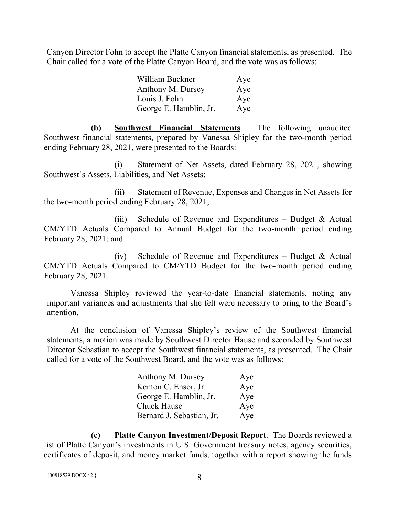Canyon Director Fohn to accept the Platte Canyon financial statements, as presented. The Chair called for a vote of the Platte Canyon Board, and the vote was as follows:

| William Buckner        | Aye |
|------------------------|-----|
| Anthony M. Dursey      | Aye |
| Louis J. Fohn          | Aye |
| George E. Hamblin, Jr. | Aye |

**(b) Southwest Financial Statements**. The following unaudited Southwest financial statements, prepared by Vanessa Shipley for the two-month period ending February 28, 2021, were presented to the Boards:

(i) Statement of Net Assets, dated February 28, 2021, showing Southwest's Assets, Liabilities, and Net Assets;

(ii) Statement of Revenue, Expenses and Changes in Net Assets for the two-month period ending February 28, 2021;

(iii) Schedule of Revenue and Expenditures – Budget  $\&$  Actual CM/YTD Actuals Compared to Annual Budget for the two-month period ending February 28, 2021; and

(iv) Schedule of Revenue and Expenditures – Budget & Actual CM/YTD Actuals Compared to CM/YTD Budget for the two-month period ending February 28, 2021.

Vanessa Shipley reviewed the year-to-date financial statements, noting any important variances and adjustments that she felt were necessary to bring to the Board's attention.

At the conclusion of Vanessa Shipley's review of the Southwest financial statements, a motion was made by Southwest Director Hause and seconded by Southwest Director Sebastian to accept the Southwest financial statements, as presented. The Chair called for a vote of the Southwest Board, and the vote was as follows:

| Anthony M. Dursey         | Aye |
|---------------------------|-----|
| Kenton C. Ensor, Jr.      | Aye |
| George E. Hamblin, Jr.    | Aye |
| <b>Chuck Hause</b>        | Aye |
| Bernard J. Sebastian, Jr. | Aye |

**(c) Platte Canyon Investment/Deposit Report**. The Boards reviewed a list of Platte Canyon's investments in U.S. Government treasury notes, agency securities, certificates of deposit, and money market funds, together with a report showing the funds

```
{00818529. \text{DOCX} / 2} 8
```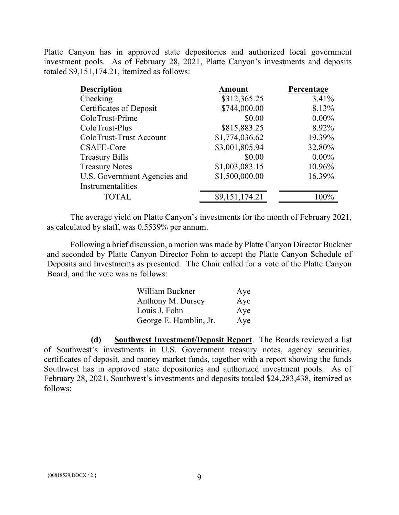Platte Canyon has in approved state depositories and authorized local government investment pools. As of February 28, 2021, Platte Canyon's investments and deposits totaled \$9,151,174.21, itemized as follows:

| <b>Description</b>           | Amount         | Percentage |
|------------------------------|----------------|------------|
| Checking                     | \$312,365.25   | 3.41%      |
| Certificates of Deposit      | \$744,000.00   | 8.13%      |
| ColoTrust-Prime              | \$0.00         | $0.00\%$   |
| ColoTrust-Plus               | \$815,883.25   | 8.92%      |
| ColoTrust-Trust Account      | \$1,774,036.62 | 19.39%     |
| CSAFE-Core                   | \$3,001,805.94 | 32.80%     |
| <b>Treasury Bills</b>        | \$0.00         | $0.00\%$   |
| <b>Treasury Notes</b>        | \$1,003,083.15 | 10.96%     |
| U.S. Government Agencies and | \$1,500,000.00 | 16.39%     |
| Instrumentalities            |                |            |
| <b>TOTAL</b>                 | \$9,151,174.21 | $100\%$    |

The average yield on Platte Canyon's investments for the month of February 2021, as calculated by staff, was 0.5539% per annum.

Following a brief discussion, a motion was made by Platte Canyon Director Buckner and seconded by Platte Canyon Director Fohn to accept the Platte Canyon Schedule of Deposits and Investments as presented. The Chair called for a vote of the Platte Canyon Board, and the vote was as follows:

| William Buckner        | Aye |
|------------------------|-----|
| Anthony M. Dursey      | Aye |
| Louis J. Fohn          | Aye |
| George E. Hamblin, Jr. | Aye |

**(d) Southwest Investment/Deposit Report**. The Boards reviewed a list of Southwest's investments in U.S. Government treasury notes, agency securities, certificates of deposit, and money market funds, together with a report showing the funds Southwest has in approved state depositories and authorized investment pools. As of February 28, 2021, Southwest's investments and deposits totaled \$24,283,438, itemized as follows: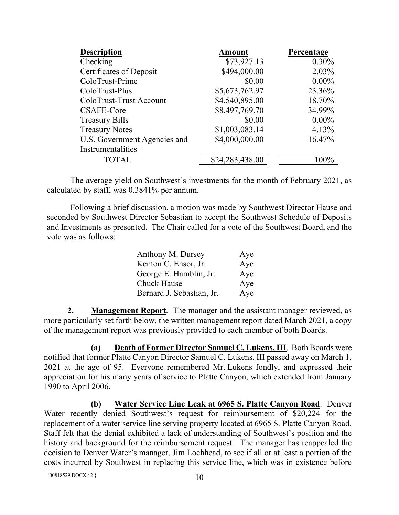| <b>Description</b>           | <b>Amount</b>   | Percentage |
|------------------------------|-----------------|------------|
| Checking                     | \$73,927.13     | 0.30%      |
| Certificates of Deposit      | \$494,000.00    | 2.03%      |
| ColoTrust-Prime              | \$0.00          | $0.00\%$   |
| ColoTrust-Plus               | \$5,673,762.97  | 23.36%     |
| ColoTrust-Trust Account      | \$4,540,895.00  | 18.70%     |
| CSAFE-Core                   | \$8,497,769.70  | 34.99%     |
| <b>Treasury Bills</b>        | \$0.00          | $0.00\%$   |
| <b>Treasury Notes</b>        | \$1,003,083.14  | 4.13%      |
| U.S. Government Agencies and | \$4,000,000.00  | 16.47%     |
| Instrumentalities            |                 |            |
| <b>TOTAL</b>                 | \$24,283,438.00 | $100\%$    |

The average yield on Southwest's investments for the month of February 2021, as calculated by staff, was 0.3841% per annum.

Following a brief discussion, a motion was made by Southwest Director Hause and seconded by Southwest Director Sebastian to accept the Southwest Schedule of Deposits and Investments as presented. The Chair called for a vote of the Southwest Board, and the vote was as follows:

| Anthony M. Dursey         | Aye |
|---------------------------|-----|
| Kenton C. Ensor, Jr.      | Aye |
| George E. Hamblin, Jr.    | Aye |
| Chuck Hause               | Aye |
| Bernard J. Sebastian, Jr. | Aye |

**2. Management Report**. The manager and the assistant manager reviewed, as more particularly set forth below, the written management report dated March 2021, a copy of the management report was previously provided to each member of both Boards.

**(a) Death of Former Director Samuel C. Lukens, III**. Both Boards were notified that former Platte Canyon Director Samuel C. Lukens, III passed away on March 1, 2021 at the age of 95. Everyone remembered Mr. Lukens fondly, and expressed their appreciation for his many years of service to Platte Canyon, which extended from January 1990 to April 2006.

**(b) Water Service Line Leak at 6965 S. Platte Canyon Road**. Denver Water recently denied Southwest's request for reimbursement of \$20,224 for the replacement of a water service line serving property located at 6965 S. Platte Canyon Road. Staff felt that the denial exhibited a lack of understanding of Southwest's position and the history and background for the reimbursement request. The manager has reappealed the decision to Denver Water's manager, Jim Lochhead, to see if all or at least a portion of the costs incurred by Southwest in replacing this service line, which was in existence before

```
{00818529. \text{DOCX} / 2} 10
```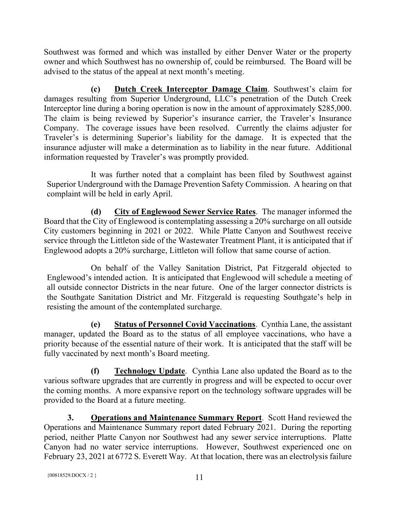Southwest was formed and which was installed by either Denver Water or the property owner and which Southwest has no ownership of, could be reimbursed. The Board will be advised to the status of the appeal at next month's meeting.

**(c) Dutch Creek Interceptor Damage Claim**. Southwest's claim for damages resulting from Superior Underground, LLC's penetration of the Dutch Creek Interceptor line during a boring operation is now in the amount of approximately \$285,000. The claim is being reviewed by Superior's insurance carrier, the Traveler's Insurance Company. The coverage issues have been resolved. Currently the claims adjuster for Traveler's is determining Superior's liability for the damage. It is expected that the insurance adjuster will make a determination as to liability in the near future. Additional information requested by Traveler's was promptly provided.

It was further noted that a complaint has been filed by Southwest against Superior Underground with the Damage Prevention Safety Commission. A hearing on that complaint will be held in early April.

**(d) City of Englewood Sewer Service Rates**. The manager informed the Board that the City of Englewood is contemplating assessing a 20% surcharge on all outside City customers beginning in 2021 or 2022. While Platte Canyon and Southwest receive service through the Littleton side of the Wastewater Treatment Plant, it is anticipated that if Englewood adopts a 20% surcharge, Littleton will follow that same course of action.

On behalf of the Valley Sanitation District, Pat Fitzgerald objected to Englewood's intended action. It is anticipated that Englewood will schedule a meeting of all outside connector Districts in the near future. One of the larger connector districts is the Southgate Sanitation District and Mr. Fitzgerald is requesting Southgate's help in resisting the amount of the contemplated surcharge.

**(e) Status of Personnel Covid Vaccinations**. Cynthia Lane, the assistant manager, updated the Board as to the status of all employee vaccinations, who have a priority because of the essential nature of their work. It is anticipated that the staff will be fully vaccinated by next month's Board meeting.

**(f) Technology Update**. Cynthia Lane also updated the Board as to the various software upgrades that are currently in progress and will be expected to occur over the coming months. A more expansive report on the technology software upgrades will be provided to the Board at a future meeting.

**3. Operations and Maintenance Summary Report**. Scott Hand reviewed the Operations and Maintenance Summary report dated February 2021. During the reporting period, neither Platte Canyon nor Southwest had any sewer service interruptions. Platte Canyon had no water service interruptions. However, Southwest experienced one on February 23, 2021 at 6772 S. Everett Way. At that location, there was an electrolysis failure

```
{00818529. \text{DOCX} / 2} 11
```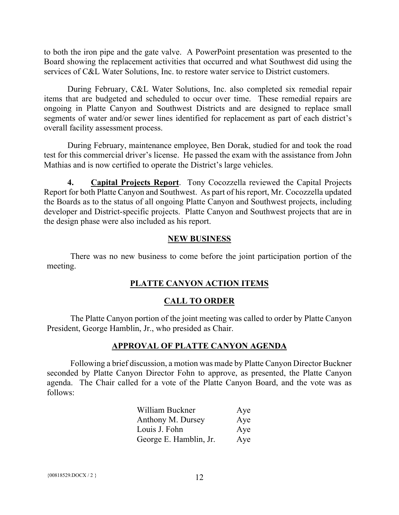to both the iron pipe and the gate valve. A PowerPoint presentation was presented to the Board showing the replacement activities that occurred and what Southwest did using the services of C&L Water Solutions, Inc. to restore water service to District customers.

During February, C&L Water Solutions, Inc. also completed six remedial repair items that are budgeted and scheduled to occur over time. These remedial repairs are ongoing in Platte Canyon and Southwest Districts and are designed to replace small segments of water and/or sewer lines identified for replacement as part of each district's overall facility assessment process.

During February, maintenance employee, Ben Dorak, studied for and took the road test for this commercial driver's license. He passed the exam with the assistance from John Mathias and is now certified to operate the District's large vehicles.

**4. Capital Projects Report**. Tony Cocozzella reviewed the Capital Projects Report for both Platte Canyon and Southwest. As part of his report, Mr. Cocozzella updated the Boards as to the status of all ongoing Platte Canyon and Southwest projects, including developer and District-specific projects. Platte Canyon and Southwest projects that are in the design phase were also included as his report.

#### **NEW BUSINESS**

There was no new business to come before the joint participation portion of the meeting.

### **PLATTE CANYON ACTION ITEMS**

### **CALL TO ORDER**

The Platte Canyon portion of the joint meeting was called to order by Platte Canyon President, George Hamblin, Jr., who presided as Chair.

#### **APPROVAL OF PLATTE CANYON AGENDA**

Following a brief discussion, a motion was made by Platte Canyon Director Buckner seconded by Platte Canyon Director Fohn to approve, as presented, the Platte Canyon agenda. The Chair called for a vote of the Platte Canyon Board, and the vote was as follows:

| William Buckner        | Aye |
|------------------------|-----|
| Anthony M. Dursey      | Aye |
| Louis J. Fohn          | Aye |
| George E. Hamblin, Jr. | Aye |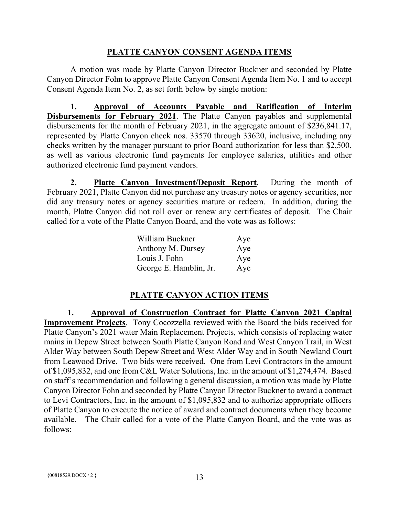## **PLATTE CANYON CONSENT AGENDA ITEMS**

A motion was made by Platte Canyon Director Buckner and seconded by Platte Canyon Director Fohn to approve Platte Canyon Consent Agenda Item No. 1 and to accept Consent Agenda Item No. 2, as set forth below by single motion:

**1. Approval of Accounts Payable and Ratification of Interim Disbursements for February 2021**. The Platte Canyon payables and supplemental disbursements for the month of February 2021, in the aggregate amount of \$236,841.17, represented by Platte Canyon check nos. 33570 through 33620, inclusive, including any checks written by the manager pursuant to prior Board authorization for less than \$2,500, as well as various electronic fund payments for employee salaries, utilities and other authorized electronic fund payment vendors.

**2. Platte Canyon Investment/Deposit Report**. During the month of February 2021, Platte Canyon did not purchase any treasury notes or agency securities, nor did any treasury notes or agency securities mature or redeem. In addition, during the month, Platte Canyon did not roll over or renew any certificates of deposit. The Chair called for a vote of the Platte Canyon Board, and the vote was as follows:

| William Buckner        | Aye |
|------------------------|-----|
| Anthony M. Dursey      | Aye |
| Louis J. Fohn          | Aye |
| George E. Hamblin, Jr. | Aye |

# **PLATTE CANYON ACTION ITEMS**

**1. Approval of Construction Contract for Platte Canyon 2021 Capital Improvement Projects**. Tony Cocozzella reviewed with the Board the bids received for Platte Canyon's 2021 water Main Replacement Projects, which consists of replacing water mains in Depew Street between South Platte Canyon Road and West Canyon Trail, in West Alder Way between South Depew Street and West Alder Way and in South Newland Court from Leawood Drive. Two bids were received. One from Levi Contractors in the amount of \$1,095,832, and one from C&L Water Solutions, Inc. in the amount of \$1,274,474. Based on staff's recommendation and following a general discussion, a motion was made by Platte Canyon Director Fohn and seconded by Platte Canyon Director Buckner to award a contract to Levi Contractors, Inc. in the amount of \$1,095,832 and to authorize appropriate officers of Platte Canyon to execute the notice of award and contract documents when they become available. The Chair called for a vote of the Platte Canyon Board, and the vote was as follows: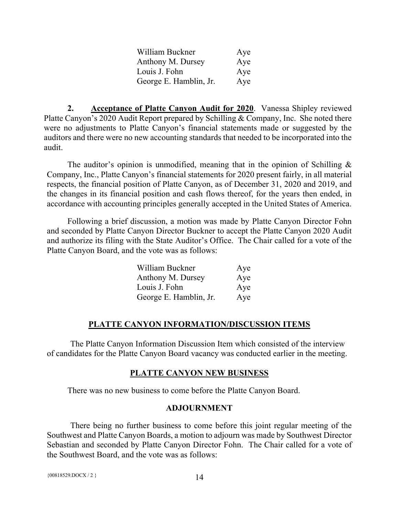| William Buckner        | Aye |
|------------------------|-----|
| Anthony M. Dursey      | Aye |
| Louis J. Fohn          | Aye |
| George E. Hamblin, Jr. | Aye |

**2. Acceptance of Platte Canyon Audit for 2020**. Vanessa Shipley reviewed Platte Canyon's 2020 Audit Report prepared by Schilling & Company, Inc. She noted there were no adjustments to Platte Canyon's financial statements made or suggested by the auditors and there were no new accounting standards that needed to be incorporated into the audit.

The auditor's opinion is unmodified, meaning that in the opinion of Schilling & Company, Inc., Platte Canyon's financial statements for 2020 present fairly, in all material respects, the financial position of Platte Canyon, as of December 31, 2020 and 2019, and the changes in its financial position and cash flows thereof, for the years then ended, in accordance with accounting principles generally accepted in the United States of America.

Following a brief discussion, a motion was made by Platte Canyon Director Fohn and seconded by Platte Canyon Director Buckner to accept the Platte Canyon 2020 Audit and authorize its filing with the State Auditor's Office. The Chair called for a vote of the Platte Canyon Board, and the vote was as follows:

| William Buckner        | Aye |
|------------------------|-----|
| Anthony M. Dursey      | Aye |
| Louis J. Fohn          | Aye |
| George E. Hamblin, Jr. | Aye |

## **PLATTE CANYON INFORMATION/DISCUSSION ITEMS**

The Platte Canyon Information Discussion Item which consisted of the interview of candidates for the Platte Canyon Board vacancy was conducted earlier in the meeting.

### **PLATTE CANYON NEW BUSINESS**

There was no new business to come before the Platte Canyon Board.

### **ADJOURNMENT**

There being no further business to come before this joint regular meeting of the Southwest and Platte Canyon Boards, a motion to adjourn was made by Southwest Director Sebastian and seconded by Platte Canyon Director Fohn. The Chair called for a vote of the Southwest Board, and the vote was as follows:

```
{00818529. \text{DOCX} / 2} 14
```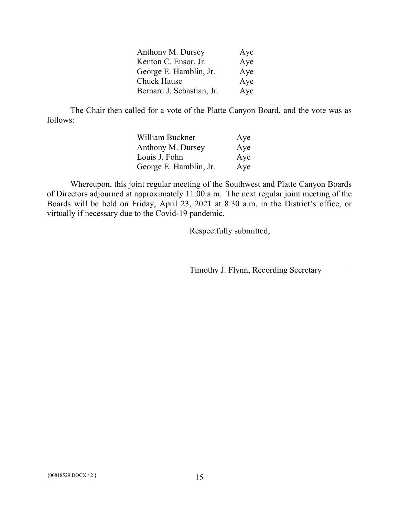| Anthony M. Dursey         | Aye |
|---------------------------|-----|
| Kenton C. Ensor, Jr.      | Aye |
| George E. Hamblin, Jr.    | Aye |
| <b>Chuck Hause</b>        | Aye |
| Bernard J. Sebastian, Jr. | Aye |

The Chair then called for a vote of the Platte Canyon Board, and the vote was as follows:

| William Buckner        | Aye |
|------------------------|-----|
| Anthony M. Dursey      | Aye |
| Louis J. Fohn          | Aye |
| George E. Hamblin, Jr. | Aye |

Whereupon, this joint regular meeting of the Southwest and Platte Canyon Boards of Directors adjourned at approximately 11:00 a.m. The next regular joint meeting of the Boards will be held on Friday, April 23, 2021 at 8:30 a.m. in the District's office, or virtually if necessary due to the Covid-19 pandemic.

Respectfully submitted,

Timothy J. Flynn, Recording Secretary